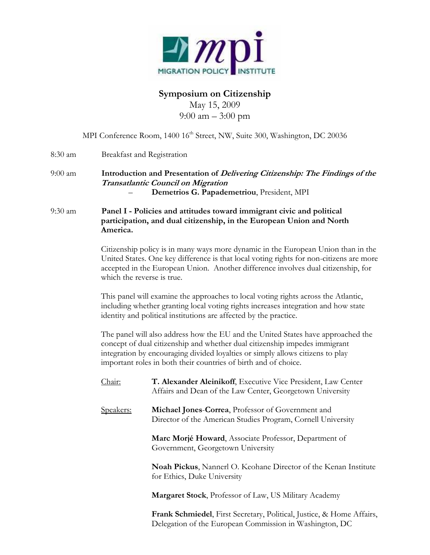

# **Symposium on Citizenship**

May 15, 2009 9:00 am – 3:00 pm

|         |                                                                                                                                                                                                                                                                                                                     | MPI Conference Room, 1400 16 <sup>th</sup> Street, NW, Suite 300, Washington, DC 20036                                                                                                                                                                                                          |  |  |
|---------|---------------------------------------------------------------------------------------------------------------------------------------------------------------------------------------------------------------------------------------------------------------------------------------------------------------------|-------------------------------------------------------------------------------------------------------------------------------------------------------------------------------------------------------------------------------------------------------------------------------------------------|--|--|
| 8:30 am |                                                                                                                                                                                                                                                                                                                     | Breakfast and Registration                                                                                                                                                                                                                                                                      |  |  |
| 9:00 am |                                                                                                                                                                                                                                                                                                                     | Introduction and Presentation of <i>Delivering Citizenship: The Findings of the</i><br>Transatlantic Council on Migration<br>Demetrios G. Papademetriou, President, MPI                                                                                                                         |  |  |
| 9:30 am | Panel I - Policies and attitudes toward immigrant civic and political<br>participation, and dual citizenship, in the European Union and North<br>America.                                                                                                                                                           |                                                                                                                                                                                                                                                                                                 |  |  |
|         |                                                                                                                                                                                                                                                                                                                     | Citizenship policy is in many ways more dynamic in the European Union than in the<br>United States. One key difference is that local voting rights for non-citizens are more<br>accepted in the European Union. Another difference involves dual citizenship, for<br>which the reverse is true. |  |  |
|         | This panel will examine the approaches to local voting rights across the Atlantic,<br>including whether granting local voting rights increases integration and how state<br>identity and political institutions are affected by the practice.                                                                       |                                                                                                                                                                                                                                                                                                 |  |  |
|         | The panel will also address how the EU and the United States have approached the<br>concept of dual citizenship and whether dual citizenship impedes immigrant<br>integration by encouraging divided loyalties or simply allows citizens to play<br>important roles in both their countries of birth and of choice. |                                                                                                                                                                                                                                                                                                 |  |  |
|         | Chair:                                                                                                                                                                                                                                                                                                              | T. Alexander Aleinikoff, Executive Vice President, Law Center<br>Affairs and Dean of the Law Center, Georgetown University                                                                                                                                                                      |  |  |
|         | Speakers:                                                                                                                                                                                                                                                                                                           | Michael Jones-Correa, Professor of Government and<br>Director of the American Studies Program, Cornell University                                                                                                                                                                               |  |  |
|         |                                                                                                                                                                                                                                                                                                                     | Marc Morjé Howard, Associate Professor, Department of<br>Government, Georgetown University                                                                                                                                                                                                      |  |  |
|         |                                                                                                                                                                                                                                                                                                                     | Noah Pickus, Nannerl O. Keohane Director of the Kenan Institute<br>for Ethics, Duke University                                                                                                                                                                                                  |  |  |
|         |                                                                                                                                                                                                                                                                                                                     | Margaret Stock, Professor of Law, US Military Academy                                                                                                                                                                                                                                           |  |  |
|         |                                                                                                                                                                                                                                                                                                                     | Frank Schmiedel, First Secretary, Political, Justice, & Home Affairs,<br>Delegation of the European Commission in Washington, DC                                                                                                                                                                |  |  |